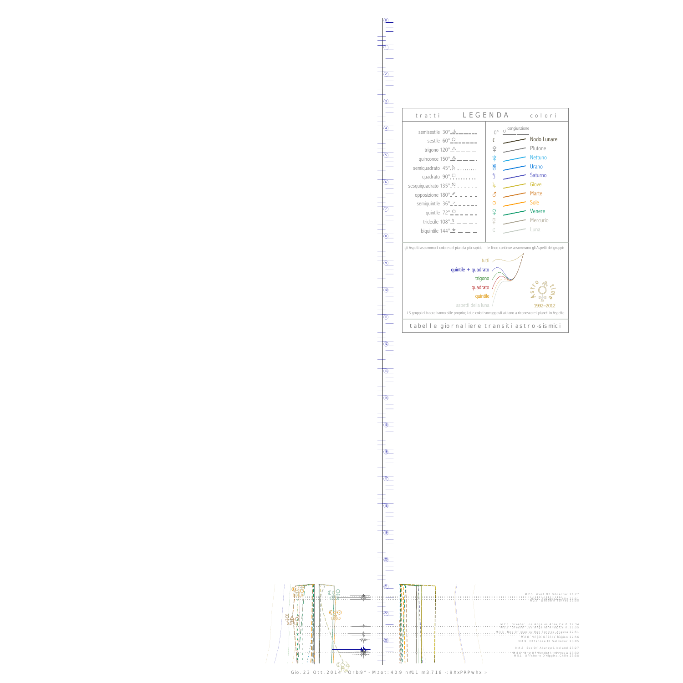$\overline{1}$